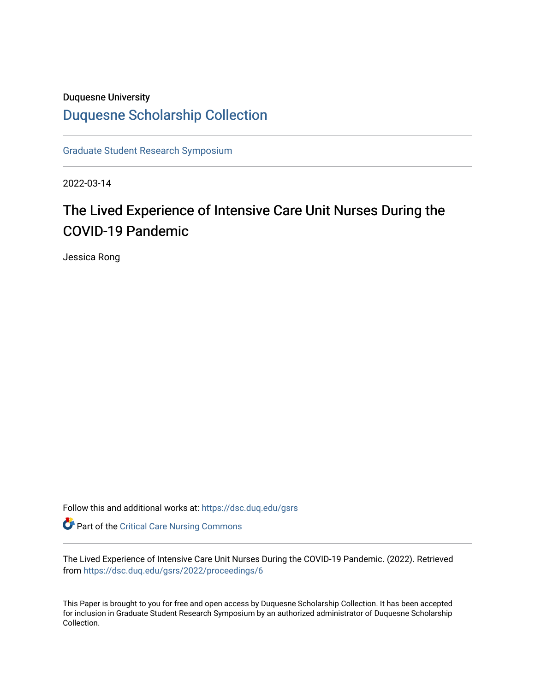### Duquesne University

## [Duquesne Scholarship Collection](https://dsc.duq.edu/)

[Graduate Student Research Symposium](https://dsc.duq.edu/gsrs)

2022-03-14

# The Lived Experience of Intensive Care Unit Nurses During the COVID-19 Pandemic

Jessica Rong

Follow this and additional works at: [https://dsc.duq.edu/gsrs](https://dsc.duq.edu/gsrs?utm_source=dsc.duq.edu%2Fgsrs%2F2022%2Fproceedings%2F6&utm_medium=PDF&utm_campaign=PDFCoverPages)

Part of the [Critical Care Nursing Commons](https://network.bepress.com/hgg/discipline/727?utm_source=dsc.duq.edu%2Fgsrs%2F2022%2Fproceedings%2F6&utm_medium=PDF&utm_campaign=PDFCoverPages)

The Lived Experience of Intensive Care Unit Nurses During the COVID-19 Pandemic. (2022). Retrieved from [https://dsc.duq.edu/gsrs/2022/proceedings/6](https://dsc.duq.edu/gsrs/2022/proceedings/6?utm_source=dsc.duq.edu%2Fgsrs%2F2022%2Fproceedings%2F6&utm_medium=PDF&utm_campaign=PDFCoverPages)

This Paper is brought to you for free and open access by Duquesne Scholarship Collection. It has been accepted for inclusion in Graduate Student Research Symposium by an authorized administrator of Duquesne Scholarship Collection.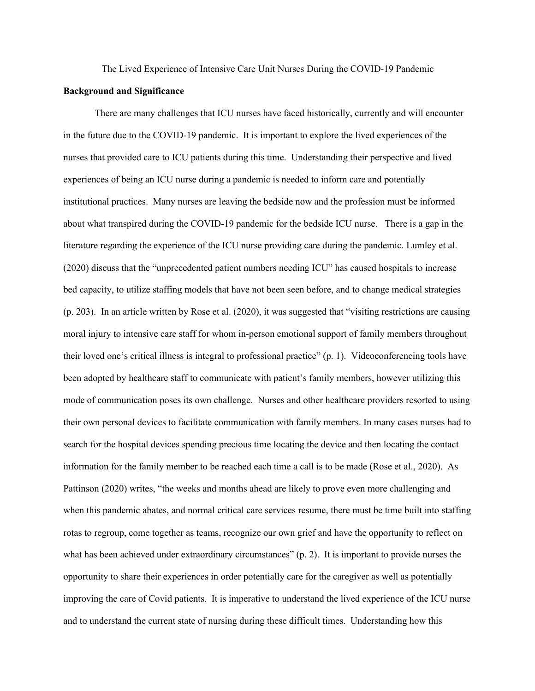The Lived Experience of Intensive Care Unit Nurses During the COVID-19 Pandemic

#### **Background and Significance**

There are many challenges that ICU nurses have faced historically, currently and will encounter in the future due to the COVID-19 pandemic. It is important to explore the lived experiences of the nurses that provided care to ICU patients during this time. Understanding their perspective and lived experiences of being an ICU nurse during a pandemic is needed to inform care and potentially institutional practices. Many nurses are leaving the bedside now and the profession must be informed about what transpired during the COVID-19 pandemic for the bedside ICU nurse. There is a gap in the literature regarding the experience of the ICU nurse providing care during the pandemic. Lumley et al. (2020) discuss that the "unprecedented patient numbers needing ICU" has caused hospitals to increase bed capacity, to utilize staffing models that have not been seen before, and to change medical strategies (p. 203). In an article written by Rose et al. (2020), it was suggested that "visiting restrictions are causing moral injury to intensive care staff for whom in-person emotional support of family members throughout their loved one's critical illness is integral to professional practice" (p. 1). Videoconferencing tools have been adopted by healthcare staff to communicate with patient's family members, however utilizing this mode of communication poses its own challenge. Nurses and other healthcare providers resorted to using their own personal devices to facilitate communication with family members. In many cases nurses had to search for the hospital devices spending precious time locating the device and then locating the contact information for the family member to be reached each time a call is to be made (Rose et al., 2020). As Pattinson (2020) writes, "the weeks and months ahead are likely to prove even more challenging and when this pandemic abates, and normal critical care services resume, there must be time built into staffing rotas to regroup, come together as teams, recognize our own grief and have the opportunity to reflect on what has been achieved under extraordinary circumstances" (p. 2). It is important to provide nurses the opportunity to share their experiences in order potentially care for the caregiver as well as potentially improving the care of Covid patients. It is imperative to understand the lived experience of the ICU nurse and to understand the current state of nursing during these difficult times. Understanding how this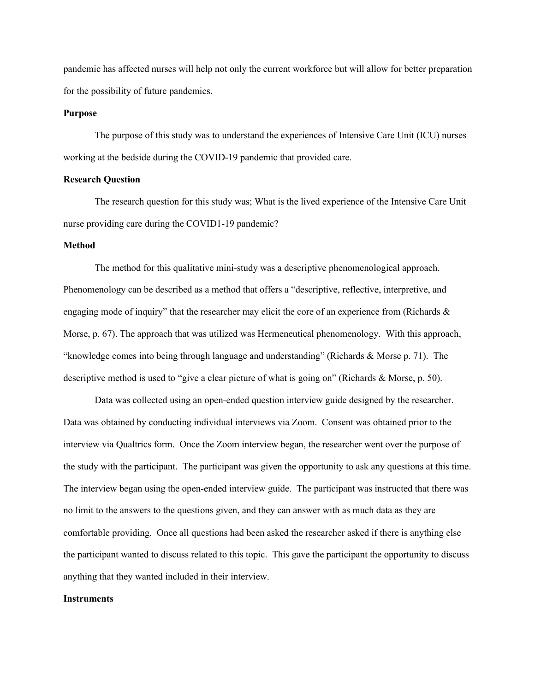pandemic has affected nurses will help not only the current workforce but will allow for better preparation for the possibility of future pandemics.

#### **Purpose**

The purpose of this study was to understand the experiences of Intensive Care Unit (ICU) nurses working at the bedside during the COVID-19 pandemic that provided care.

#### **Research Question**

The research question for this study was; What is the lived experience of the Intensive Care Unit nurse providing care during the COVID1-19 pandemic?

#### **Method**

The method for this qualitative mini-study was a descriptive phenomenological approach. Phenomenology can be described as a method that offers a "descriptive, reflective, interpretive, and engaging mode of inquiry" that the researcher may elicit the core of an experience from (Richards & Morse, p. 67). The approach that was utilized was Hermeneutical phenomenology. With this approach, "knowledge comes into being through language and understanding" (Richards & Morse p. 71). The descriptive method is used to "give a clear picture of what is going on" (Richards & Morse, p. 50).

Data was collected using an open-ended question interview guide designed by the researcher. Data was obtained by conducting individual interviews via Zoom. Consent was obtained prior to the interview via Qualtrics form. Once the Zoom interview began, the researcher went over the purpose of the study with the participant. The participant was given the opportunity to ask any questions at this time. The interview began using the open-ended interview guide. The participant was instructed that there was no limit to the answers to the questions given, and they can answer with as much data as they are comfortable providing. Once all questions had been asked the researcher asked if there is anything else the participant wanted to discuss related to this topic. This gave the participant the opportunity to discuss anything that they wanted included in their interview.

#### **Instruments**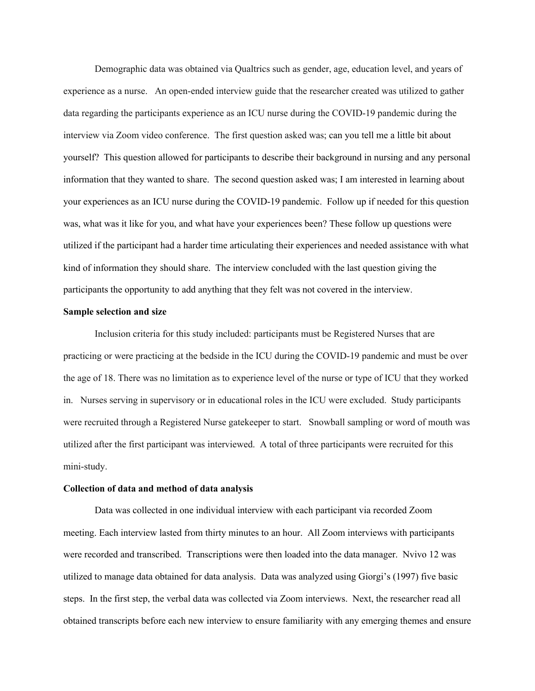Demographic data was obtained via Qualtrics such as gender, age, education level, and years of experience as a nurse. An open-ended interview guide that the researcher created was utilized to gather data regarding the participants experience as an ICU nurse during the COVID-19 pandemic during the interview via Zoom video conference. The first question asked was; can you tell me a little bit about yourself? This question allowed for participants to describe their background in nursing and any personal information that they wanted to share. The second question asked was; I am interested in learning about your experiences as an ICU nurse during the COVID-19 pandemic. Follow up if needed for this question was, what was it like for you, and what have your experiences been? These follow up questions were utilized if the participant had a harder time articulating their experiences and needed assistance with what kind of information they should share. The interview concluded with the last question giving the participants the opportunity to add anything that they felt was not covered in the interview.

#### **Sample selection and size**

Inclusion criteria for this study included: participants must be Registered Nurses that are practicing or were practicing at the bedside in the ICU during the COVID-19 pandemic and must be over the age of 18. There was no limitation as to experience level of the nurse or type of ICU that they worked in. Nurses serving in supervisory or in educational roles in the ICU were excluded. Study participants were recruited through a Registered Nurse gatekeeper to start. Snowball sampling or word of mouth was utilized after the first participant was interviewed. A total of three participants were recruited for this mini-study.

#### **Collection of data and method of data analysis**

Data was collected in one individual interview with each participant via recorded Zoom meeting. Each interview lasted from thirty minutes to an hour. All Zoom interviews with participants were recorded and transcribed. Transcriptions were then loaded into the data manager. Nvivo 12 was utilized to manage data obtained for data analysis. Data was analyzed using Giorgi's (1997) five basic steps. In the first step, the verbal data was collected via Zoom interviews. Next, the researcher read all obtained transcripts before each new interview to ensure familiarity with any emerging themes and ensure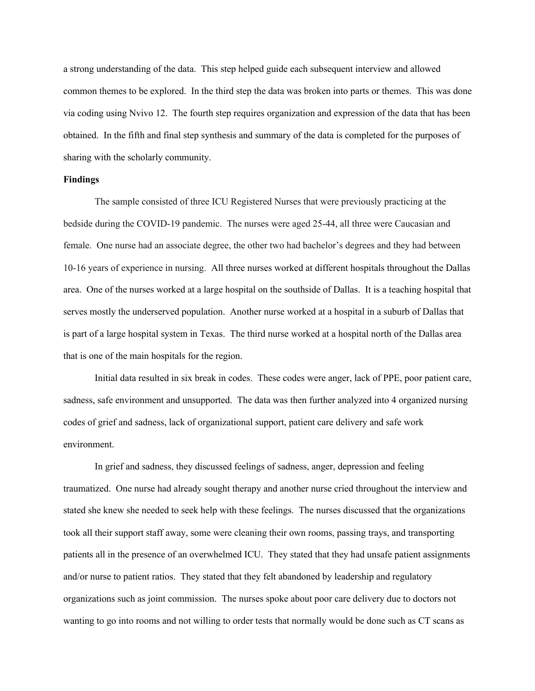a strong understanding of the data. This step helped guide each subsequent interview and allowed common themes to be explored. In the third step the data was broken into parts or themes. This was done via coding using Nvivo 12. The fourth step requires organization and expression of the data that has been obtained. In the fifth and final step synthesis and summary of the data is completed for the purposes of sharing with the scholarly community.

#### **Findings**

The sample consisted of three ICU Registered Nurses that were previously practicing at the bedside during the COVID-19 pandemic. The nurses were aged 25-44, all three were Caucasian and female. One nurse had an associate degree, the other two had bachelor's degrees and they had between 10-16 years of experience in nursing.All three nurses worked at different hospitals throughout the Dallas area. One of the nurses worked at a large hospital on the southside of Dallas. It is a teaching hospital that serves mostly the underserved population. Another nurse worked at a hospital in a suburb of Dallas that is part of a large hospital system in Texas. The third nurse worked at a hospital north of the Dallas area that is one of the main hospitals for the region.

Initial data resulted in six break in codes. These codes were anger, lack of PPE, poor patient care, sadness, safe environment and unsupported. The data was then further analyzed into 4 organized nursing codes of grief and sadness, lack of organizational support, patient care delivery and safe work environment.

In grief and sadness, they discussed feelings of sadness, anger, depression and feeling traumatized. One nurse had already sought therapy and another nurse cried throughout the interview and stated she knew she needed to seek help with these feelings. The nurses discussed that the organizations took all their support staff away, some were cleaning their own rooms, passing trays, and transporting patients all in the presence of an overwhelmed ICU. They stated that they had unsafe patient assignments and/or nurse to patient ratios. They stated that they felt abandoned by leadership and regulatory organizations such as joint commission. The nurses spoke about poor care delivery due to doctors not wanting to go into rooms and not willing to order tests that normally would be done such as CT scans as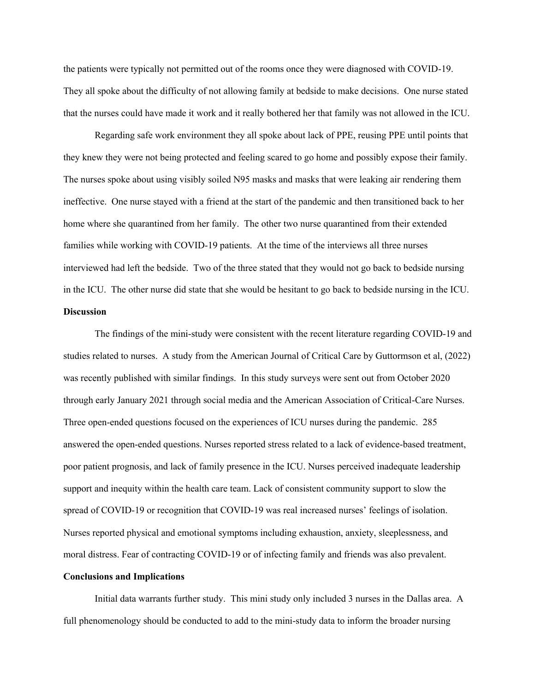the patients were typically not permitted out of the rooms once they were diagnosed with COVID-19. They all spoke about the difficulty of not allowing family at bedside to make decisions. One nurse stated that the nurses could have made it work and it really bothered her that family was not allowed in the ICU.

Regarding safe work environment they all spoke about lack of PPE, reusing PPE until points that they knew they were not being protected and feeling scared to go home and possibly expose their family. The nurses spoke about using visibly soiled N95 masks and masks that were leaking air rendering them ineffective. One nurse stayed with a friend at the start of the pandemic and then transitioned back to her home where she quarantined from her family. The other two nurse quarantined from their extended families while working with COVID-19 patients. At the time of the interviews all three nurses interviewed had left the bedside. Two of the three stated that they would not go back to bedside nursing in the ICU. The other nurse did state that she would be hesitant to go back to bedside nursing in the ICU. **Discussion**

The findings of the mini-study were consistent with the recent literature regarding COVID-19 and studies related to nurses. A study from the American Journal of Critical Care by Guttormson et al, (2022) was recently published with similar findings. In this study surveys were sent out from October 2020 through early January 2021 through social media and the American Association of Critical-Care Nurses. Three open-ended questions focused on the experiences of ICU nurses during the pandemic. 285 answered the open-ended questions. Nurses reported stress related to a lack of evidence-based treatment, poor patient prognosis, and lack of family presence in the ICU. Nurses perceived inadequate leadership support and inequity within the health care team. Lack of consistent community support to slow the spread of COVID-19 or recognition that COVID-19 was real increased nurses' feelings of isolation. Nurses reported physical and emotional symptoms including exhaustion, anxiety, sleeplessness, and moral distress. Fear of contracting COVID-19 or of infecting family and friends was also prevalent.

#### **Conclusions and Implications**

Initial data warrants further study. This mini study only included 3 nurses in the Dallas area. A full phenomenology should be conducted to add to the mini-study data to inform the broader nursing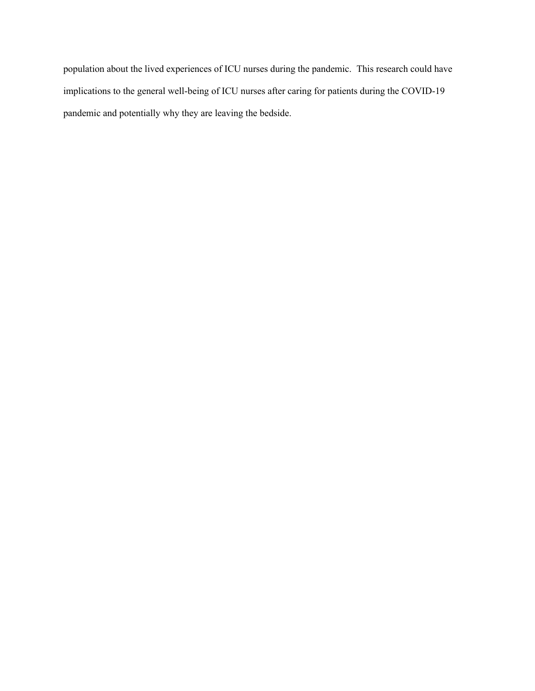population about the lived experiences of ICU nurses during the pandemic. This research could have implications to the general well-being of ICU nurses after caring for patients during the COVID-19 pandemic and potentially why they are leaving the bedside.